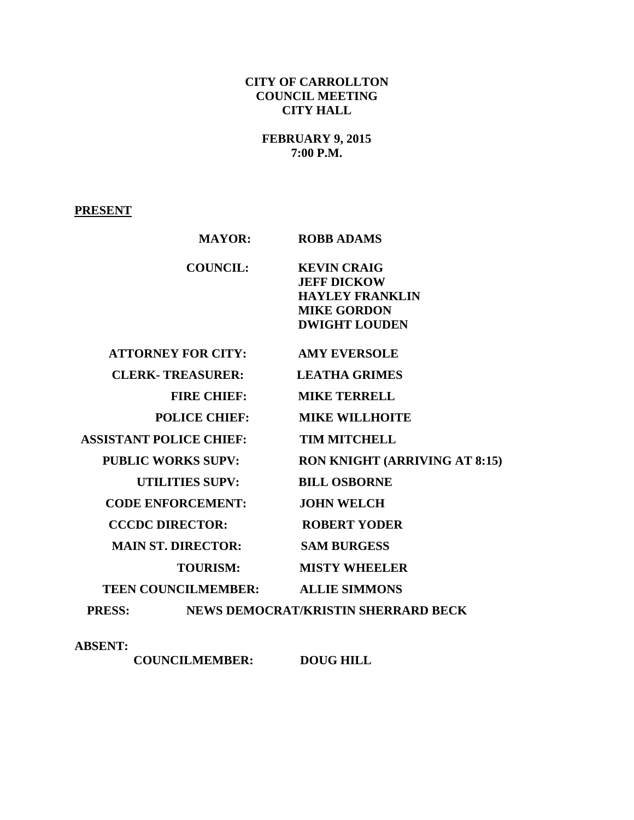# **CITY OF CARROLLTON COUNCIL MEETING CITY HALL**

**FEBRUARY 9, 2015 7:00 P.M.**

**PRESENT**

| <b>MAYOR:</b>                     |                                            | <b>ROBB ADAMS</b>                                                                                                |
|-----------------------------------|--------------------------------------------|------------------------------------------------------------------------------------------------------------------|
|                                   | <b>COUNCIL:</b>                            | <b>KEVIN CRAIG</b><br><b>JEFF DICKOW</b><br><b>HAYLEY FRANKLIN</b><br><b>MIKE GORDON</b><br><b>DWIGHT LOUDEN</b> |
| <b>ATTORNEY FOR CITY:</b>         |                                            | <b>AMY EVERSOLE</b>                                                                                              |
| <b>CLERK- TREASURER:</b>          |                                            | <b>LEATHA GRIMES</b>                                                                                             |
| <b>FIRE CHIEF:</b>                |                                            | <b>MIKE TERRELL</b>                                                                                              |
| <b>POLICE CHIEF:</b>              |                                            | <b>MIKE WILLHOITE</b>                                                                                            |
| <b>ASSISTANT POLICE CHIEF:</b>    |                                            | <b>TIM MITCHELL</b>                                                                                              |
| <b>PUBLIC WORKS SUPV:</b>         |                                            | <b>RON KNIGHT (ARRIVING AT 8:15)</b>                                                                             |
| <b>UTILITIES SUPV:</b>            |                                            | <b>BILL OSBORNE</b>                                                                                              |
| <b>CODE ENFORCEMENT:</b>          |                                            | <b>JOHN WELCH</b>                                                                                                |
| <b>CCCDC DIRECTOR:</b>            |                                            | <b>ROBERT YODER</b>                                                                                              |
| <b>MAIN ST. DIRECTOR:</b>         |                                            | <b>SAM BURGESS</b>                                                                                               |
|                                   | <b>TOURISM:</b>                            | <b>MISTY WHEELER</b>                                                                                             |
| TEEN COUNCILMEMBER: ALLIE SIMMONS |                                            |                                                                                                                  |
| <b>PRESS:</b>                     | <b>NEWS DEMOCRAT/KRISTIN SHERRARD BECK</b> |                                                                                                                  |

**ABSENT:** 

 **COUNCILMEMBER: DOUG HILL**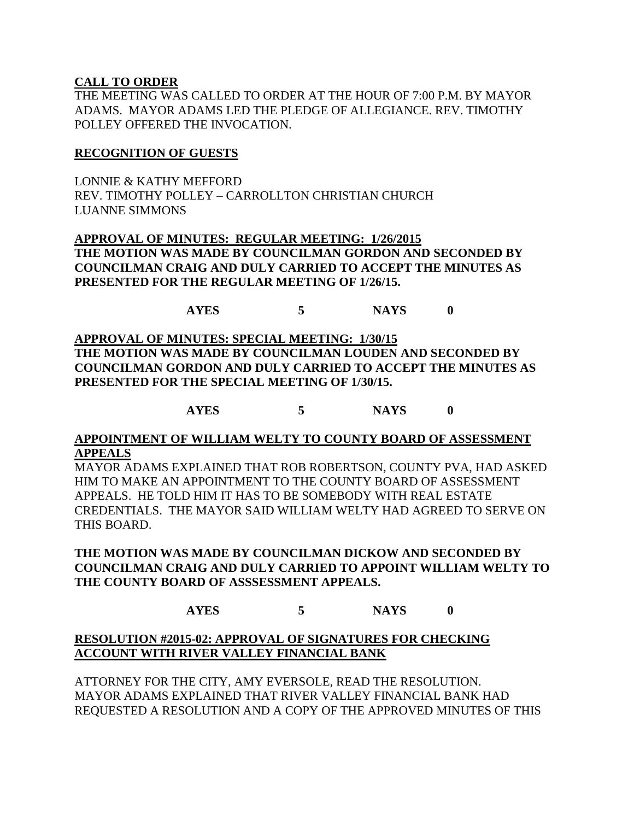### **CALL TO ORDER**

THE MEETING WAS CALLED TO ORDER AT THE HOUR OF 7:00 P.M. BY MAYOR ADAMS. MAYOR ADAMS LED THE PLEDGE OF ALLEGIANCE. REV. TIMOTHY POLLEY OFFERED THE INVOCATION.

### **RECOGNITION OF GUESTS**

LONNIE & KATHY MEFFORD REV. TIMOTHY POLLEY – CARROLLTON CHRISTIAN CHURCH LUANNE SIMMONS

**APPROVAL OF MINUTES: REGULAR MEETING: 1/26/2015 THE MOTION WAS MADE BY COUNCILMAN GORDON AND SECONDED BY COUNCILMAN CRAIG AND DULY CARRIED TO ACCEPT THE MINUTES AS PRESENTED FOR THE REGULAR MEETING OF 1/26/15.**

## **AYES 5 NAYS 0**

**APPROVAL OF MINUTES: SPECIAL MEETING: 1/30/15 THE MOTION WAS MADE BY COUNCILMAN LOUDEN AND SECONDED BY COUNCILMAN GORDON AND DULY CARRIED TO ACCEPT THE MINUTES AS PRESENTED FOR THE SPECIAL MEETING OF 1/30/15.**

**AYES 5 NAYS 0**

#### **APPOINTMENT OF WILLIAM WELTY TO COUNTY BOARD OF ASSESSMENT APPEALS**

MAYOR ADAMS EXPLAINED THAT ROB ROBERTSON, COUNTY PVA, HAD ASKED HIM TO MAKE AN APPOINTMENT TO THE COUNTY BOARD OF ASSESSMENT APPEALS. HE TOLD HIM IT HAS TO BE SOMEBODY WITH REAL ESTATE CREDENTIALS. THE MAYOR SAID WILLIAM WELTY HAD AGREED TO SERVE ON THIS BOARD.

**THE MOTION WAS MADE BY COUNCILMAN DICKOW AND SECONDED BY COUNCILMAN CRAIG AND DULY CARRIED TO APPOINT WILLIAM WELTY TO THE COUNTY BOARD OF ASSSESSMENT APPEALS.**

## **AYES 5 NAYS 0**

## **RESOLUTION #2015-02: APPROVAL OF SIGNATURES FOR CHECKING ACCOUNT WITH RIVER VALLEY FINANCIAL BANK**

ATTORNEY FOR THE CITY, AMY EVERSOLE, READ THE RESOLUTION. MAYOR ADAMS EXPLAINED THAT RIVER VALLEY FINANCIAL BANK HAD REQUESTED A RESOLUTION AND A COPY OF THE APPROVED MINUTES OF THIS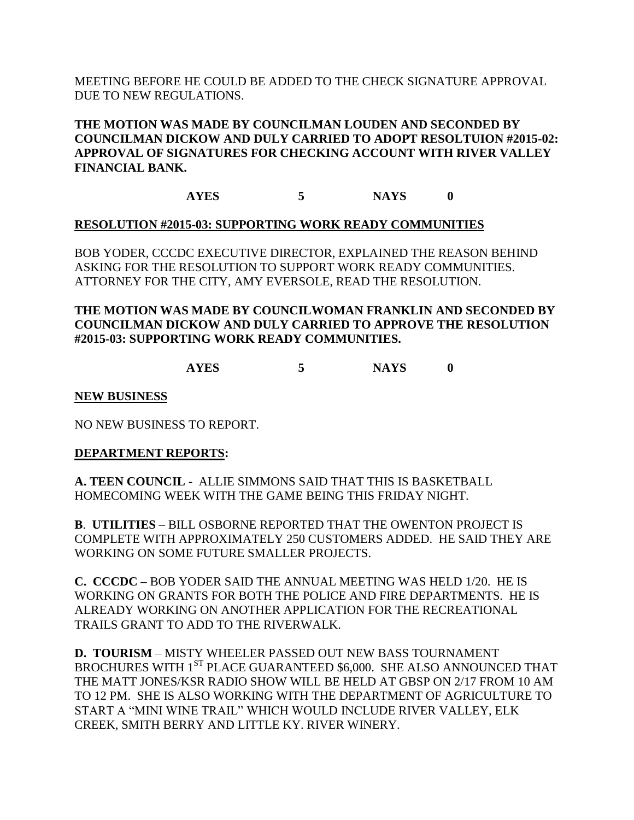MEETING BEFORE HE COULD BE ADDED TO THE CHECK SIGNATURE APPROVAL DUE TO NEW REGULATIONS.

## **THE MOTION WAS MADE BY COUNCILMAN LOUDEN AND SECONDED BY COUNCILMAN DICKOW AND DULY CARRIED TO ADOPT RESOLTUION #2015-02: APPROVAL OF SIGNATURES FOR CHECKING ACCOUNT WITH RIVER VALLEY FINANCIAL BANK.**

**AYES 5 NAYS 0**

## **RESOLUTION #2015-03: SUPPORTING WORK READY COMMUNITIES**

BOB YODER, CCCDC EXECUTIVE DIRECTOR, EXPLAINED THE REASON BEHIND ASKING FOR THE RESOLUTION TO SUPPORT WORK READY COMMUNITIES. ATTORNEY FOR THE CITY, AMY EVERSOLE, READ THE RESOLUTION.

## **THE MOTION WAS MADE BY COUNCILWOMAN FRANKLIN AND SECONDED BY COUNCILMAN DICKOW AND DULY CARRIED TO APPROVE THE RESOLUTION #2015-03: SUPPORTING WORK READY COMMUNITIES.**

**AYES 5 NAYS 0**

## **NEW BUSINESS**

NO NEW BUSINESS TO REPORT.

## **DEPARTMENT REPORTS:**

**A. TEEN COUNCIL -** ALLIE SIMMONS SAID THAT THIS IS BASKETBALL HOMECOMING WEEK WITH THE GAME BEING THIS FRIDAY NIGHT.

**B**. **UTILITIES** – BILL OSBORNE REPORTED THAT THE OWENTON PROJECT IS COMPLETE WITH APPROXIMATELY 250 CUSTOMERS ADDED. HE SAID THEY ARE WORKING ON SOME FUTURE SMALLER PROJECTS.

**C. CCCDC –** BOB YODER SAID THE ANNUAL MEETING WAS HELD 1/20. HE IS WORKING ON GRANTS FOR BOTH THE POLICE AND FIRE DEPARTMENTS. HE IS ALREADY WORKING ON ANOTHER APPLICATION FOR THE RECREATIONAL TRAILS GRANT TO ADD TO THE RIVERWALK.

**D. TOURISM** – MISTY WHEELER PASSED OUT NEW BASS TOURNAMENT BROCHURES WITH 1<sup>ST</sup> PLACE GUARANTEED \$6,000. SHE ALSO ANNOUNCED THAT THE MATT JONES/KSR RADIO SHOW WILL BE HELD AT GBSP ON 2/17 FROM 10 AM TO 12 PM. SHE IS ALSO WORKING WITH THE DEPARTMENT OF AGRICULTURE TO START A "MINI WINE TRAIL" WHICH WOULD INCLUDE RIVER VALLEY, ELK CREEK, SMITH BERRY AND LITTLE KY. RIVER WINERY.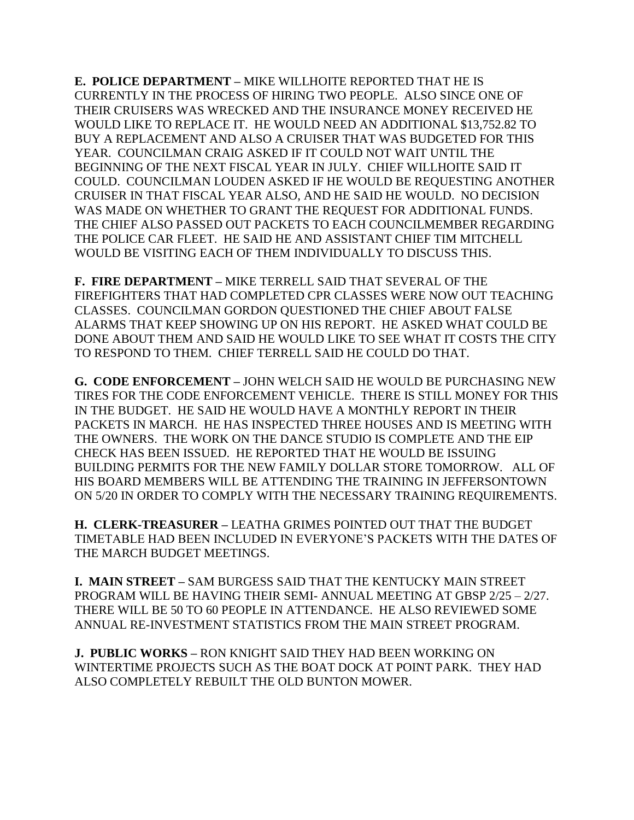**E. POLICE DEPARTMENT –** MIKE WILLHOITE REPORTED THAT HE IS CURRENTLY IN THE PROCESS OF HIRING TWO PEOPLE. ALSO SINCE ONE OF THEIR CRUISERS WAS WRECKED AND THE INSURANCE MONEY RECEIVED HE WOULD LIKE TO REPLACE IT. HE WOULD NEED AN ADDITIONAL \$13,752.82 TO BUY A REPLACEMENT AND ALSO A CRUISER THAT WAS BUDGETED FOR THIS YEAR. COUNCILMAN CRAIG ASKED IF IT COULD NOT WAIT UNTIL THE BEGINNING OF THE NEXT FISCAL YEAR IN JULY. CHIEF WILLHOITE SAID IT COULD. COUNCILMAN LOUDEN ASKED IF HE WOULD BE REQUESTING ANOTHER CRUISER IN THAT FISCAL YEAR ALSO, AND HE SAID HE WOULD. NO DECISION WAS MADE ON WHETHER TO GRANT THE REQUEST FOR ADDITIONAL FUNDS. THE CHIEF ALSO PASSED OUT PACKETS TO EACH COUNCILMEMBER REGARDING THE POLICE CAR FLEET. HE SAID HE AND ASSISTANT CHIEF TIM MITCHELL WOULD BE VISITING EACH OF THEM INDIVIDUALLY TO DISCUSS THIS.

**F. FIRE DEPARTMENT –** MIKE TERRELL SAID THAT SEVERAL OF THE FIREFIGHTERS THAT HAD COMPLETED CPR CLASSES WERE NOW OUT TEACHING CLASSES. COUNCILMAN GORDON QUESTIONED THE CHIEF ABOUT FALSE ALARMS THAT KEEP SHOWING UP ON HIS REPORT. HE ASKED WHAT COULD BE DONE ABOUT THEM AND SAID HE WOULD LIKE TO SEE WHAT IT COSTS THE CITY TO RESPOND TO THEM. CHIEF TERRELL SAID HE COULD DO THAT.

**G. CODE ENFORCEMENT –** JOHN WELCH SAID HE WOULD BE PURCHASING NEW TIRES FOR THE CODE ENFORCEMENT VEHICLE. THERE IS STILL MONEY FOR THIS IN THE BUDGET. HE SAID HE WOULD HAVE A MONTHLY REPORT IN THEIR PACKETS IN MARCH. HE HAS INSPECTED THREE HOUSES AND IS MEETING WITH THE OWNERS. THE WORK ON THE DANCE STUDIO IS COMPLETE AND THE EIP CHECK HAS BEEN ISSUED. HE REPORTED THAT HE WOULD BE ISSUING BUILDING PERMITS FOR THE NEW FAMILY DOLLAR STORE TOMORROW. ALL OF HIS BOARD MEMBERS WILL BE ATTENDING THE TRAINING IN JEFFERSONTOWN ON 5/20 IN ORDER TO COMPLY WITH THE NECESSARY TRAINING REQUIREMENTS.

**H. CLERK-TREASURER –** LEATHA GRIMES POINTED OUT THAT THE BUDGET TIMETABLE HAD BEEN INCLUDED IN EVERYONE'S PACKETS WITH THE DATES OF THE MARCH BUDGET MEETINGS.

**I. MAIN STREET –** SAM BURGESS SAID THAT THE KENTUCKY MAIN STREET PROGRAM WILL BE HAVING THEIR SEMI- ANNUAL MEETING AT GBSP 2/25 – 2/27. THERE WILL BE 50 TO 60 PEOPLE IN ATTENDANCE. HE ALSO REVIEWED SOME ANNUAL RE-INVESTMENT STATISTICS FROM THE MAIN STREET PROGRAM.

**J. PUBLIC WORKS –** RON KNIGHT SAID THEY HAD BEEN WORKING ON WINTERTIME PROJECTS SUCH AS THE BOAT DOCK AT POINT PARK. THEY HAD ALSO COMPLETELY REBUILT THE OLD BUNTON MOWER.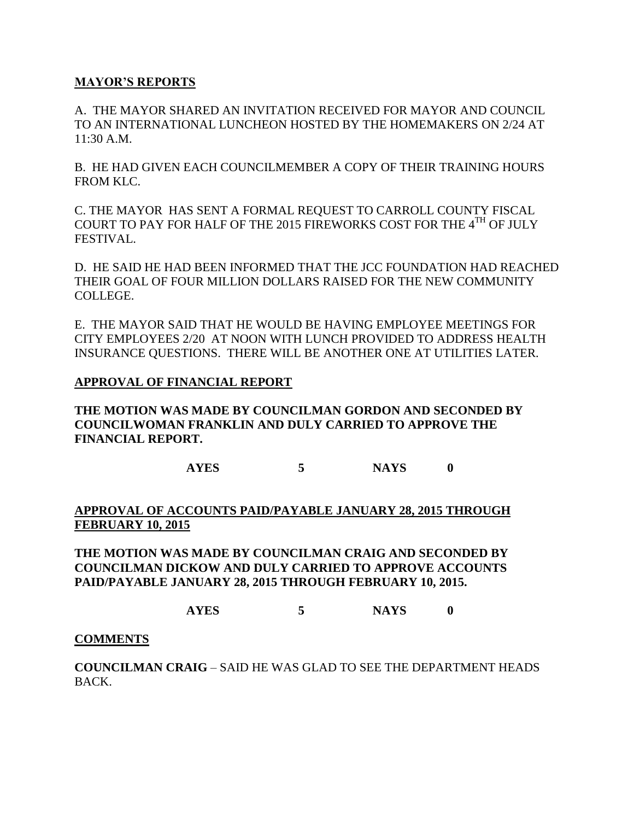### **MAYOR'S REPORTS**

A. THE MAYOR SHARED AN INVITATION RECEIVED FOR MAYOR AND COUNCIL TO AN INTERNATIONAL LUNCHEON HOSTED BY THE HOMEMAKERS ON 2/24 AT 11:30 A.M.

B. HE HAD GIVEN EACH COUNCILMEMBER A COPY OF THEIR TRAINING HOURS FROM KLC.

C. THE MAYOR HAS SENT A FORMAL REQUEST TO CARROLL COUNTY FISCAL COURT TO PAY FOR HALF OF THE 2015 FIREWORKS COST FOR THE 4TH OF JULY FESTIVAL.

D. HE SAID HE HAD BEEN INFORMED THAT THE JCC FOUNDATION HAD REACHED THEIR GOAL OF FOUR MILLION DOLLARS RAISED FOR THE NEW COMMUNITY COLLEGE.

E. THE MAYOR SAID THAT HE WOULD BE HAVING EMPLOYEE MEETINGS FOR CITY EMPLOYEES 2/20 AT NOON WITH LUNCH PROVIDED TO ADDRESS HEALTH INSURANCE QUESTIONS. THERE WILL BE ANOTHER ONE AT UTILITIES LATER.

#### **APPROVAL OF FINANCIAL REPORT**

**THE MOTION WAS MADE BY COUNCILMAN GORDON AND SECONDED BY COUNCILWOMAN FRANKLIN AND DULY CARRIED TO APPROVE THE FINANCIAL REPORT.**

**AYES 5 NAYS 0**

#### **APPROVAL OF ACCOUNTS PAID/PAYABLE JANUARY 28, 2015 THROUGH FEBRUARY 10, 2015**

**THE MOTION WAS MADE BY COUNCILMAN CRAIG AND SECONDED BY COUNCILMAN DICKOW AND DULY CARRIED TO APPROVE ACCOUNTS PAID/PAYABLE JANUARY 28, 2015 THROUGH FEBRUARY 10, 2015.**

**AYES 5 NAYS 0**

#### **COMMENTS**

**COUNCILMAN CRAIG** – SAID HE WAS GLAD TO SEE THE DEPARTMENT HEADS BACK.